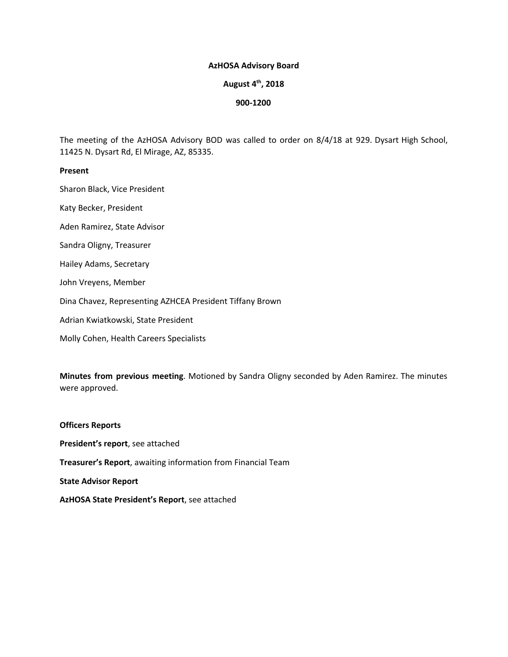#### **AzHOSA Advisory Board**

# **August 4 th , 2018**

#### **900-1200**

The meeting of the AzHOSA Advisory BOD was called to order on 8/4/18 at 929. Dysart High School, 11425 N. Dysart Rd, El Mirage, AZ, 85335.

#### **Present**

Sharon Black, Vice President

Katy Becker, President

Aden Ramirez, State Advisor

Sandra Oligny, Treasurer

Hailey Adams, Secretary

John Vreyens, Member

Dina Chavez, Representing AZHCEA President Tiffany Brown

Adrian Kwiatkowski, State President

Molly Cohen, Health Careers Specialists

**Minutes from previous meeting**. Motioned by Sandra Oligny seconded by Aden Ramirez. The minutes were approved.

# **Officers Reports President's report**, see attached **Treasurer's Report**, awaiting information from Financial Team **State Advisor Report AzHOSA State President's Report**, see attached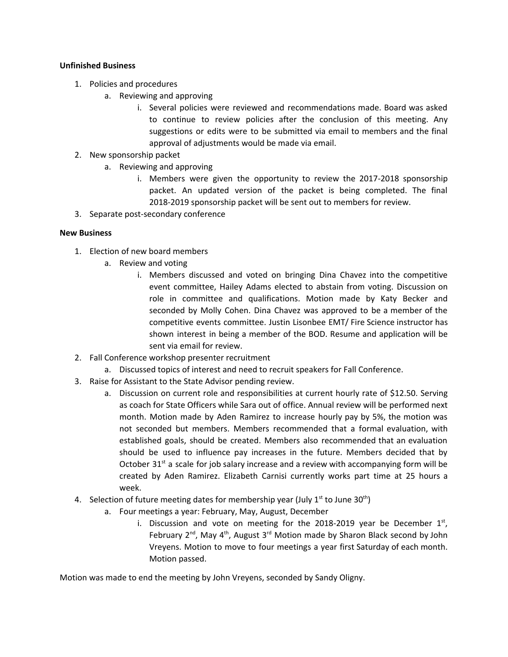## **Unfinished Business**

- 1. Policies and procedures
	- a. Reviewing and approving
		- i. Several policies were reviewed and recommendations made. Board was asked to continue to review policies after the conclusion of this meeting. Any suggestions or edits were to be submitted via email to members and the final approval of adjustments would be made via email.
- 2. New sponsorship packet
	- a. Reviewing and approving
		- i. Members were given the opportunity to review the 2017-2018 sponsorship packet. An updated version of the packet is being completed. The final 2018-2019 sponsorship packet will be sent out to members for review.
- 3. Separate post-secondary conference

## **New Business**

- 1. Election of new board members
	- a. Review and voting
		- i. Members discussed and voted on bringing Dina Chavez into the competitive event committee, Hailey Adams elected to abstain from voting. Discussion on role in committee and qualifications. Motion made by Katy Becker and seconded by Molly Cohen. Dina Chavez was approved to be a member of the competitive events committee. Justin Lisonbee EMT/ Fire Science instructor has shown interest in being a member of the BOD. Resume and application will be sent via email for review.
- 2. Fall Conference workshop presenter recruitment
	- a. Discussed topics of interest and need to recruit speakers for Fall Conference.
- 3. Raise for Assistant to the State Advisor pending review.
	- a. Discussion on current role and responsibilities at current hourly rate of \$12.50. Serving as coach for State Officers while Sara out of office. Annual review will be performed next month. Motion made by Aden Ramirez to increase hourly pay by 5%, the motion was not seconded but members. Members recommended that a formal evaluation, with established goals, should be created. Members also recommended that an evaluation should be used to influence pay increases in the future. Members decided that by October  $31^{st}$  a scale for job salary increase and a review with accompanying form will be created by Aden Ramirez. Elizabeth Carnisi currently works part time at 25 hours a week.
- 4. Selection of future meeting dates for membership year (July  $1^{st}$  to June 30<sup>th</sup>)
	- a. Four meetings a year: February, May, August, December
		- i. Discussion and vote on meeting for the 2018-2019 year be December  $1<sup>st</sup>$ , February  $2^{nd}$ , May  $4^{th}$ , August  $3^{rd}$  Motion made by Sharon Black second by John Vreyens. Motion to move to four meetings a year first Saturday of each month. Motion passed.

Motion was made to end the meeting by John Vreyens, seconded by Sandy Oligny.